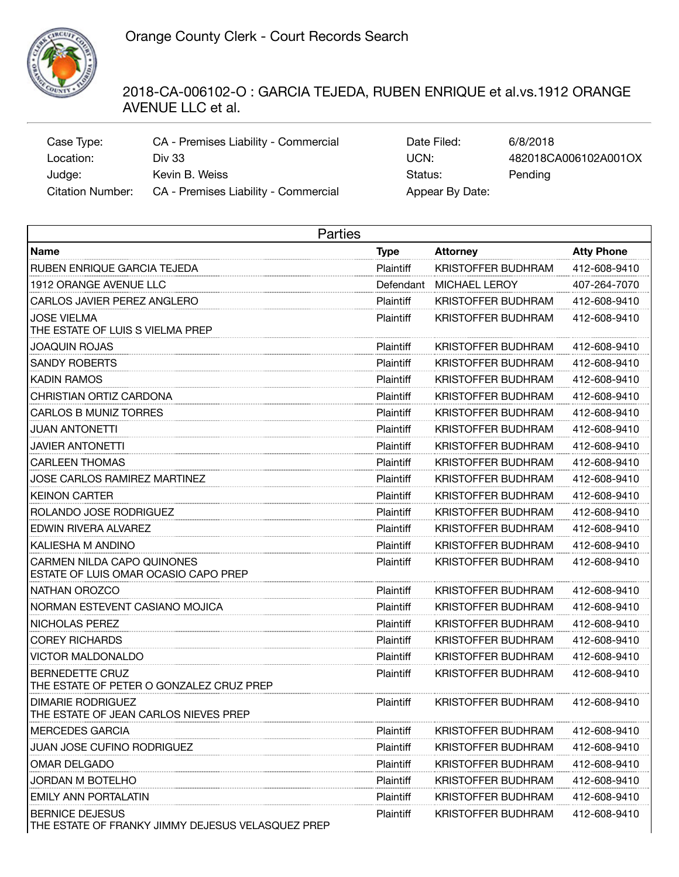

## 2018-CA-006102-O : GARCIA TEJEDA, RUBEN ENRIQUE et al.vs.1912 ORANGE AVENUE LLC et al.

| Case Type:       | CA - Premises Liability - Commercial | Date Filed:     | 6/8/2018             |
|------------------|--------------------------------------|-----------------|----------------------|
| Location:        | Div 33                               | UCN:            | 482018CA006102A001OX |
| Judge:           | Kevin B. Weiss                       | Status:         | Pending              |
| Citation Number: | CA - Premises Liability - Commercial | Appear By Date: |                      |

| Date Filed:     | 6/8/2018             |
|-----------------|----------------------|
| UCN:            | 482018CA006102A001OX |
| Status:         | Pending              |
| Appear By Date: |                      |

| Parties                                                                     |                  |                           |                   |  |  |
|-----------------------------------------------------------------------------|------------------|---------------------------|-------------------|--|--|
| <b>Name</b>                                                                 | <b>Type</b>      | Attorney                  | <b>Atty Phone</b> |  |  |
| RUBEN ENRIQUE GARCIA TEJEDA                                                 | Plaintiff        | KRISTOFFER BUDHRAM        | 412-608-9410      |  |  |
| 1912 ORANGE AVENUE LLC                                                      | Defendant        | MICHAEL LEROY             | 407-264-7070      |  |  |
| CARLOS JAVIER PEREZ ANGLERO                                                 | Plaintiff        | KRISTOFFER BUDHRAM        | 412-608-9410      |  |  |
| <b>JOSE VIELMA</b><br>THE ESTATE OF LUIS S VIELMA PREP                      | <b>Plaintiff</b> | KRISTOFFER BUDHRAM        | 412-608-9410      |  |  |
| JOAQUIN ROJAS                                                               | Plaintiff        | KRISTOFFER BUDHRAM        | 412-608-9410      |  |  |
| <b>SANDY ROBERTS</b>                                                        | Plaintiff        | KRISTOFFER BUDHRAM        | 412-608-9410      |  |  |
| KADIN RAMOS                                                                 | Plaintiff        | KRISTOFFER BUDHRAM        | 412-608-9410      |  |  |
| CHRISTIAN ORTIZ CARDONA                                                     | Plaintiff        | KRISTOFFER BUDHRAM        | 412-608-9410      |  |  |
| CARLOS B MUNIZ TORRES                                                       | Plaintiff        | KRISTOFFER BUDHRAM        | 412-608-9410      |  |  |
| JUAN ANTONETTI                                                              | Plaintiff        | KRISTOFFER BUDHRAM        | 412-608-9410      |  |  |
| JAVIER ANTONETTI                                                            | Plaintiff        | KRISTOFFER BUDHRAM        | 412-608-9410      |  |  |
| CARLEEN THOMAS                                                              | Plaintiff        | KRISTOFFER BUDHRAM        | 412-608-9410      |  |  |
| JOSE CARLOS RAMIREZ MARTINEZ                                                | Plaintiff        | KRISTOFFER BUDHRAM        | 412-608-9410      |  |  |
| <b>KEINON CARTER</b>                                                        | Plaintiff        | KRISTOFFER BUDHRAM        | 412-608-9410      |  |  |
| ROLANDO JOSE RODRIGUEZ                                                      | Plaintiff        | KRISTOFFER BUDHRAM        | 412-608-9410      |  |  |
| EDWIN RIVERA ALVAREZ                                                        | Plaintiff        | KRISTOFFER BUDHRAM        | 412-608-9410      |  |  |
| KALIESHA M ANDINO                                                           | Plaintiff        | KRISTOFFER BUDHRAM        | 412-608-9410      |  |  |
| CARMEN NILDA CAPO QUINONES<br>ESTATE OF LUIS OMAR OCASIO CAPO PREP          | Plaintiff        | KRISTOFFER BUDHRAM        | 412-608-9410      |  |  |
| NATHAN OROZCO                                                               | Plaintiff        | <b>KRISTOFFER BUDHRAM</b> | 412-608-9410      |  |  |
| NORMAN ESTEVENT CASIANO MOJICA                                              | Plaintiff        | KRISTOFFER BUDHRAM        | 412-608-9410      |  |  |
| NICHOLAS PEREZ                                                              | Plaintiff        | <b>KRISTOFFER BUDHRAM</b> | 412-608-9410      |  |  |
| <b>COREY RICHARDS</b>                                                       | Plaintiff        | KRISTOFFER BUDHRAM        | 412-608-9410      |  |  |
| VICTOR MALDONALDO                                                           | Plaintiff        | <b>KRISTOFFER BUDHRAM</b> | 412-608-9410      |  |  |
| <b>BERNEDETTE CRUZ</b><br>THE ESTATE OF PETER O GONZALEZ CRUZ PREP          | Plaintiff        | KRISTOFFER BUDHRAM        | 412-608-9410      |  |  |
| DIMARIE RODRIGUEZ<br>THE ESTATE OF JEAN CARLOS NIEVES PREP                  | Plaintiff        | KRISTOFFER BUDHRAM        | 412-608-9410      |  |  |
| <b>MERCEDES GARCIA</b>                                                      | Plaintiff        | <b>KRISTOFFER BUDHRAM</b> | 412-608-9410      |  |  |
| JUAN JOSE CUFINO RODRIGUEZ                                                  | Plaintiff        | <b>KRISTOFFER BUDHRAM</b> | 412-608-9410      |  |  |
| OMAR DELGADO                                                                | Plaintiff        | <b>KRISTOFFER BUDHRAM</b> | 412-608-9410      |  |  |
| JORDAN M BOTELHO                                                            | Plaintiff        | KRISTOFFER BUDHRAM        | 412-608-9410      |  |  |
| <b>EMILY ANN PORTALATIN</b>                                                 | Plaintiff        | <b>KRISTOFFER BUDHRAM</b> | 412-608-9410      |  |  |
| <b>BERNICE DEJESUS</b><br>THE ESTATE OF FRANKY JIMMY DEJESUS VELASQUEZ PREP | Plaintiff        | <b>KRISTOFFER BUDHRAM</b> | 412-608-9410      |  |  |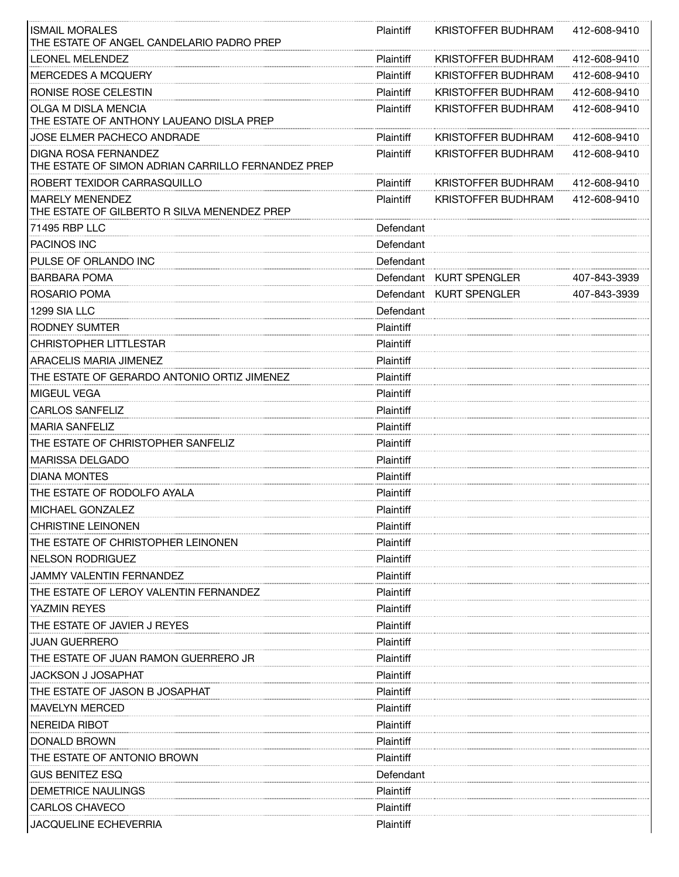| <b>ISMAIL MORALES</b><br>THE ESTATE OF ANGEL CANDELARIO PADRO PREP         | <b>Plaintiff</b> | KRISTOFFER BUDHRAM        | 412-608-9410 |
|----------------------------------------------------------------------------|------------------|---------------------------|--------------|
| LEONEL MELENDEZ                                                            | Plaintiff        | KRISTOFFER BUDHRAM        | 412-608-9410 |
| MERCEDES A MCQUERY                                                         | Plaintiff        | KRISTOFFER BUDHRAM        | 412-608-9410 |
| RONISE ROSE CELESTIN                                                       | Plaintiff        | KRISTOFFER BUDHRAM        | 412-608-9410 |
| OLGA M DISLA MENCIA<br>THE ESTATE OF ANTHONY LAUEANO DISLA PREP            | Plaintiff        | KRISTOFFER BUDHRAM        | 412-608-9410 |
| JOSE ELMER PACHECO ANDRADE                                                 | Plaintiff        | KRISTOFFER BUDHRAM        | 412-608-9410 |
| DIGNA ROSA FERNANDEZ<br>THE ESTATE OF SIMON ADRIAN CARRILLO FERNANDEZ PREP | Plaintiff        | KRISTOFFER BUDHRAM        | 412-608-9410 |
| ROBERT TEXIDOR CARRASQUILLO                                                | Plaintiff        | KRISTOFFER BUDHRAM        | 412-608-9410 |
| <b>MARELY MENENDEZ</b><br>THE ESTATE OF GILBERTO R SILVA MENENDEZ PREP     | Plaintiff        | <b>KRISTOFFER BUDHRAM</b> | 412-608-9410 |
| 71495 RBP LLC                                                              | Defendant        |                           |              |
| PACINOS INC                                                                | Defendant        |                           |              |
| PULSE OF ORLANDO INC                                                       | Defendant        |                           |              |
| <b>BARBARA POMA</b>                                                        |                  | Defendant KURT SPENGLER   | 407-843-3939 |
| ROSARIO POMA                                                               |                  | Defendant KURT SPENGLER   | 407-843-3939 |
| 1299 SIA LLC                                                               | Defendant        |                           |              |
| RODNEY SUMTER                                                              | Plaintiff        |                           |              |
| CHRISTOPHER LITTLESTAR                                                     | Plaintiff        |                           |              |
| ARACELIS MARIA JIMENEZ                                                     | Plaintiff        |                           |              |
| THE ESTATE OF GERARDO ANTONIO ORTIZ JIMENEZ                                | Plaintiff        |                           |              |
| <b>MIGEUL VEGA</b>                                                         | Plaintiff        |                           |              |
| <b>CARLOS SANFELIZ</b>                                                     | Plaintiff        |                           |              |
| <b>MARIA SANFELIZ</b>                                                      | Plaintiff        |                           |              |
| THE ESTATE OF CHRISTOPHER SANFELIZ                                         | Plaintiff        |                           |              |
| <b>MARISSA DELGADO</b>                                                     | Plaintiff        |                           |              |
| <b>DIANA MONTES</b>                                                        | Plaintiff        |                           |              |
| THE ESTATE OF RODOLFO AYALA                                                | Plaintiff        |                           |              |
| MICHAEL GONZALEZ                                                           | Plaintiff        |                           |              |
| <b>CHRISTINE LEINONEN</b>                                                  | Plaintiff        |                           |              |
| THE ESTATE OF CHRISTOPHER LEINONEN                                         | Plaintiff        |                           |              |
| <b>NELSON RODRIGUEZ</b>                                                    | Plaintiff        |                           |              |
| JAMMY VALENTIN FERNANDEZ                                                   | Plaintiff        |                           |              |
| THE ESTATE OF LEROY VALENTIN FERNANDEZ                                     | Plaintiff        |                           |              |
| <b>YAZMIN REYES</b>                                                        | Plaintiff        |                           |              |
| THE ESTATE OF JAVIER J REYES                                               | Plaintiff        |                           |              |
| JUAN GUERRERO                                                              | Plaintiff        |                           |              |
| THE ESTATE OF JUAN RAMON GUERRERO JR                                       | Plaintiff        |                           |              |
| JACKSON J JOSAPHAT                                                         | Plaintiff        |                           |              |
| THE ESTATE OF JASON B JOSAPHAT                                             | Plaintiff        |                           |              |
| <b>MAVELYN MERCED</b>                                                      | Plaintiff        |                           |              |
| <b>NEREIDA RIBOT</b>                                                       | Plaintiff        |                           |              |
| <b>DONALD BROWN</b>                                                        | Plaintiff        |                           |              |
| THE ESTATE OF ANTONIO BROWN                                                | Plaintiff        |                           |              |
| <b>GUS BENITEZ ESQ</b>                                                     | Defendant        |                           |              |
| DEMETRICE NAULINGS                                                         | Plaintiff        |                           |              |
| CARLOS CHAVECO                                                             | Plaintiff        |                           |              |
| <b>JACQUELINE ECHEVERRIA</b>                                               | Plaintiff        |                           |              |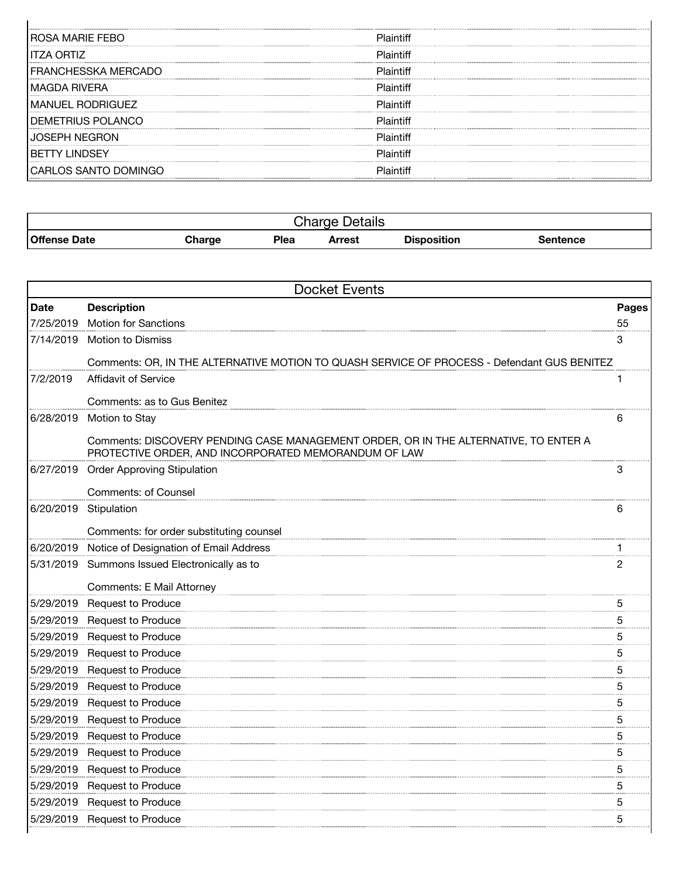| ROSA MARIE FEBO         | Plaintiff |
|-------------------------|-----------|
| <b>ITZA ORTIZ</b>       | Plaintiff |
| FRANCHESSKA MERCADO     | Plaintiff |
| MAGDA RIVERA            | Plaintiff |
| <b>MANUEL RODRIGUEZ</b> | Plaintiff |
| DEMETRIUS POLANCO       | Plaintiff |
| <b>SFPH NFGRON</b>      | Plaintiff |
| 'Y I INDSFY             | Plaintiff |
| CARLOS SANTO DOMINGO    | Plaintiff |
|                         |           |

 $\mathbf{I}$ 

| <b>Details</b><br>harne.<br>יוסו וט |               |      |        |                    |          |
|-------------------------------------|---------------|------|--------|--------------------|----------|
| <b>Offense Date</b>                 | <b>Charge</b> | Plea | Arrest | <b>Disposition</b> | Sentence |

| <b>Docket Events</b> |                                                                                                                                              |       |  |
|----------------------|----------------------------------------------------------------------------------------------------------------------------------------------|-------|--|
| <b>Date</b>          | <b>Description</b>                                                                                                                           | Pages |  |
| 7/25/2019            | <b>Motion for Sanctions</b>                                                                                                                  | 55    |  |
|                      | 7/14/2019 Motion to Dismiss                                                                                                                  | 3     |  |
|                      | Comments: OR, IN THE ALTERNATIVE MOTION TO QUASH SERVICE OF PROCESS - Defendant GUS BENITEZ                                                  |       |  |
| 7/2/2019             | <b>Affidavit of Service</b>                                                                                                                  |       |  |
|                      | Comments: as to Gus Benitez                                                                                                                  |       |  |
|                      | 6/28/2019 Motion to Stay                                                                                                                     | 6     |  |
|                      | Comments: DISCOVERY PENDING CASE MANAGEMENT ORDER, OR IN THE ALTERNATIVE, TO ENTER A<br>PROTECTIVE ORDER, AND INCORPORATED MEMORANDUM OF LAW |       |  |
|                      | 6/27/2019 Order Approving Stipulation                                                                                                        | 3     |  |
|                      | <b>Comments: of Counsel</b>                                                                                                                  |       |  |
|                      | 6/20/2019 Stipulation                                                                                                                        | 6     |  |
|                      | Comments: for order substituting counsel                                                                                                     |       |  |
|                      | 6/20/2019 Notice of Designation of Email Address                                                                                             |       |  |
|                      | 5/31/2019 Summons Issued Electronically as to                                                                                                | 2     |  |
|                      |                                                                                                                                              |       |  |
|                      | Comments: E Mail Attorney                                                                                                                    |       |  |
|                      | 5/29/2019 Request to Produce                                                                                                                 | 5     |  |
|                      | 5/29/2019 Request to Produce                                                                                                                 | 5     |  |
|                      | 5/29/2019 Request to Produce                                                                                                                 | 5     |  |
|                      | 5/29/2019 Request to Produce                                                                                                                 | 5     |  |
|                      | 5/29/2019 Request to Produce                                                                                                                 | 5     |  |
|                      | 5/29/2019 Request to Produce                                                                                                                 | 5     |  |
|                      | 5/29/2019 Request to Produce                                                                                                                 | 5     |  |
|                      | 5/29/2019 Request to Produce                                                                                                                 | 5     |  |
|                      | 5/29/2019 Request to Produce                                                                                                                 | 5     |  |
|                      | 5/29/2019 Request to Produce                                                                                                                 | 5     |  |
|                      | 5/29/2019 Request to Produce                                                                                                                 | 5     |  |
|                      | 5/29/2019 Request to Produce                                                                                                                 | 5     |  |
|                      | 5/29/2019 Request to Produce                                                                                                                 | 5     |  |
|                      | 5/29/2019 Request to Produce                                                                                                                 | 5     |  |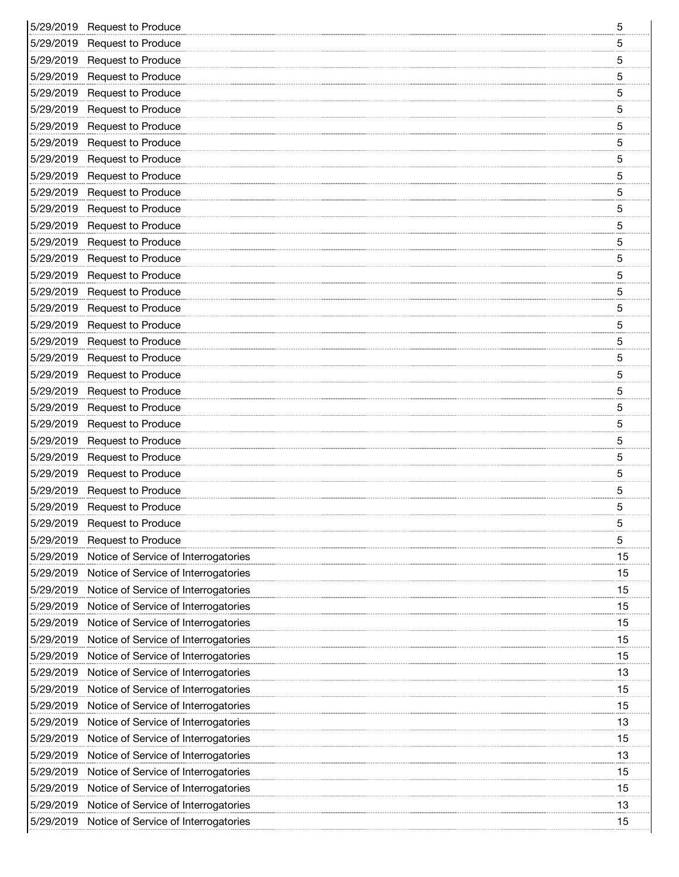|           | 5/29/2019 Request to Produce                   | 5  |
|-----------|------------------------------------------------|----|
|           | 5/29/2019 Request to Produce                   | 5  |
|           | 5/29/2019 Request to Produce                   | 5  |
|           | 5/29/2019 Request to Produce                   | 5  |
|           | 5/29/2019 Request to Produce                   | 5  |
|           | 5/29/2019 Request to Produce                   | 5  |
|           | 5/29/2019 Request to Produce                   | 5  |
|           | 5/29/2019 Request to Produce                   | 5  |
|           | 5/29/2019 Request to Produce                   | 5  |
|           | 5/29/2019 Request to Produce                   | 5  |
|           | 5/29/2019 Request to Produce                   | 5  |
|           | 5/29/2019 Request to Produce                   | 5  |
|           | 5/29/2019 Request to Produce                   | 5  |
|           | 5/29/2019 Request to Produce                   | 5  |
|           | 5/29/2019 Request to Produce                   | 5  |
|           | 5/29/2019 Request to Produce                   | 5  |
|           | 5/29/2019 Request to Produce                   | 5  |
|           | 5/29/2019 Request to Produce                   | 5  |
|           | 5/29/2019 Request to Produce                   | 5  |
|           | 5/29/2019 Request to Produce                   | 5  |
|           | 5/29/2019 Request to Produce                   | 5  |
|           | 5/29/2019 Request to Produce                   | 5  |
|           | 5/29/2019 Request to Produce                   | 5  |
|           | 5/29/2019 Request to Produce                   | 5  |
|           | 5/29/2019 Request to Produce                   | 5  |
|           | 5/29/2019 Request to Produce                   | 5  |
|           | 5/29/2019 Request to Produce                   | 5  |
|           | 5/29/2019 Request to Produce                   | 5  |
|           | 5/29/2019 Request to Produce                   | 5  |
|           | 5/29/2019 Request to Produce                   | 5  |
|           | 5/29/2019 Request to Produce                   | 5  |
| 5/29/2019 | <b>Request to Produce</b>                      | 5  |
|           | 5/29/2019 Notice of Service of Interrogatories | 15 |
|           | 5/29/2019 Notice of Service of Interrogatories | 15 |
|           | 5/29/2019 Notice of Service of Interrogatories | 15 |
| 5/29/2019 | Notice of Service of Interrogatories           | 15 |
|           | 5/29/2019 Notice of Service of Interrogatories | 15 |
|           |                                                | 15 |
|           | 5/29/2019 Notice of Service of Interrogatories |    |
|           | 5/29/2019 Notice of Service of Interrogatories | 15 |
| 5/29/2019 | Notice of Service of Interrogatories           | 13 |
|           | 5/29/2019 Notice of Service of Interrogatories | 15 |
|           | 5/29/2019 Notice of Service of Interrogatories | 15 |
| 5/29/2019 | Notice of Service of Interrogatories           | 13 |
| 5/29/2019 | Notice of Service of Interrogatories           | 15 |
|           | 5/29/2019 Notice of Service of Interrogatories | 13 |
|           | 5/29/2019 Notice of Service of Interrogatories | 15 |
|           | 5/29/2019 Notice of Service of Interrogatories | 15 |
|           | 5/29/2019 Notice of Service of Interrogatories | 13 |
|           | 5/29/2019 Notice of Service of Interrogatories | 15 |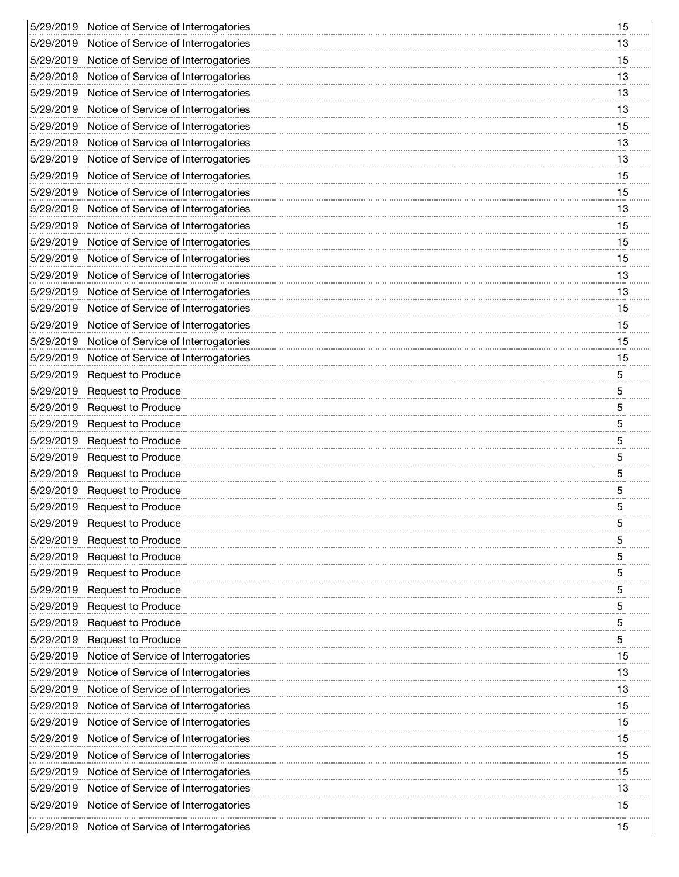| 5/29/2019 Notice of Service of Interrogatories | 15 |
|------------------------------------------------|----|
| 5/29/2019 Notice of Service of Interrogatories | 13 |
| 5/29/2019 Notice of Service of Interrogatories | 15 |
| 5/29/2019 Notice of Service of Interrogatories | 13 |
| 5/29/2019 Notice of Service of Interrogatories | 13 |
| 5/29/2019 Notice of Service of Interrogatories | 13 |
| 5/29/2019 Notice of Service of Interrogatories | 15 |
| 5/29/2019 Notice of Service of Interrogatories | 13 |
| 5/29/2019 Notice of Service of Interrogatories | 13 |
| 5/29/2019 Notice of Service of Interrogatories | 15 |
| 5/29/2019 Notice of Service of Interrogatories | 15 |
| 5/29/2019 Notice of Service of Interrogatories | 13 |
| 5/29/2019 Notice of Service of Interrogatories | 15 |
| 5/29/2019 Notice of Service of Interrogatories | 15 |
| 5/29/2019 Notice of Service of Interrogatories | 15 |
| 5/29/2019 Notice of Service of Interrogatories | 13 |
| 5/29/2019 Notice of Service of Interrogatories | 13 |
| 5/29/2019 Notice of Service of Interrogatories | 15 |
| 5/29/2019 Notice of Service of Interrogatories | 15 |
| 5/29/2019 Notice of Service of Interrogatories | 15 |
| 5/29/2019 Notice of Service of Interrogatories | 15 |
| 5/29/2019 Request to Produce                   | 5  |
| 5/29/2019 Request to Produce                   | 5  |
| 5/29/2019 Request to Produce                   | 5  |
| 5/29/2019 Request to Produce                   | 5  |
| 5/29/2019 Request to Produce                   | 5  |
| 5/29/2019 Request to Produce                   | 5  |
| 5/29/2019 Request to Produce                   | 5  |
| 5/29/2019 Request to Produce                   | 5  |
| 5/29/2019 Request to Produce                   | 5  |
| 5/29/2019 Request to Produce                   | 5  |
| 5/29/2019 Request to Produce                   | 5  |
| 5/29/2019 Request to Produce                   | 5  |
| 5/29/2019 Request to Produce                   | 5  |
| 5/29/2019 Request to Produce                   | 5  |
| 5/29/2019 Request to Produce                   | 5  |
| 5/29/2019 Request to Produce                   | 5  |
| 5/29/2019 Request to Produce                   | 5  |
| 5/29/2019 Notice of Service of Interrogatories | 15 |
| 5/29/2019 Notice of Service of Interrogatories | 13 |
| 5/29/2019 Notice of Service of Interrogatories | 13 |
| 5/29/2019 Notice of Service of Interrogatories | 15 |
| 5/29/2019 Notice of Service of Interrogatories | 15 |
| 5/29/2019 Notice of Service of Interrogatories | 15 |
| 5/29/2019 Notice of Service of Interrogatories | 15 |
| 5/29/2019 Notice of Service of Interrogatories | 15 |
| 5/29/2019 Notice of Service of Interrogatories | 13 |
| 5/29/2019 Notice of Service of Interrogatories | 15 |
| 5/29/2019 Notice of Service of Interrogatories | 15 |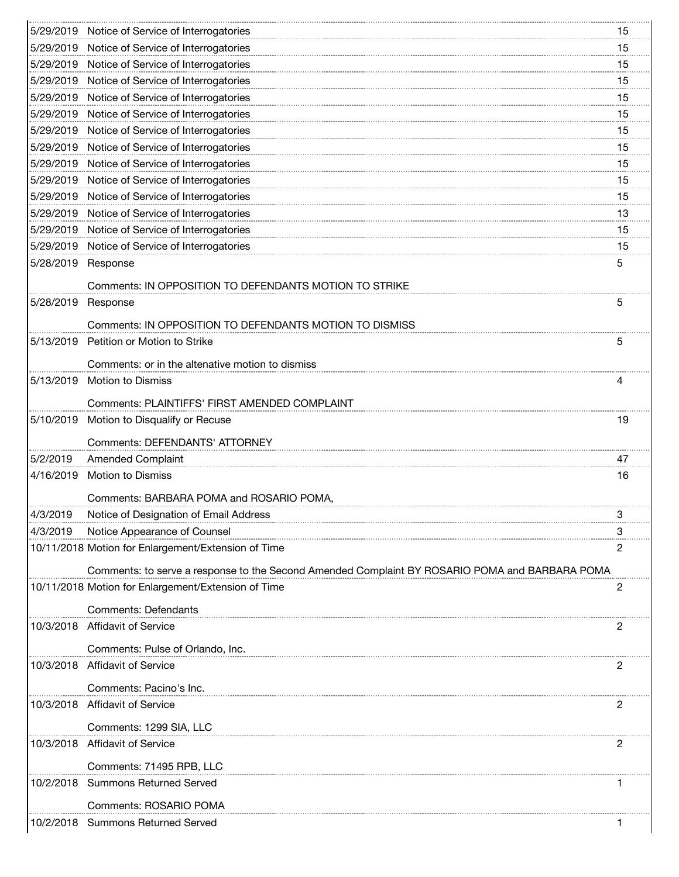|                    | 5/29/2019 Notice of Service of Interrogatories                                                 | 15 |
|--------------------|------------------------------------------------------------------------------------------------|----|
|                    | 5/29/2019 Notice of Service of Interrogatories                                                 | 15 |
|                    | 5/29/2019 Notice of Service of Interrogatories                                                 | 15 |
|                    | 5/29/2019 Notice of Service of Interrogatories                                                 | 15 |
|                    | 5/29/2019 Notice of Service of Interrogatories                                                 | 15 |
|                    | 5/29/2019 Notice of Service of Interrogatories                                                 | 15 |
|                    | 5/29/2019 Notice of Service of Interrogatories                                                 | 15 |
|                    | 5/29/2019 Notice of Service of Interrogatories                                                 | 15 |
|                    | 5/29/2019 Notice of Service of Interrogatories                                                 | 15 |
|                    | 5/29/2019 Notice of Service of Interrogatories                                                 | 15 |
|                    | 5/29/2019 Notice of Service of Interrogatories                                                 | 15 |
|                    | 5/29/2019 Notice of Service of Interrogatories                                                 | 13 |
|                    | 5/29/2019 Notice of Service of Interrogatories                                                 | 15 |
|                    | 5/29/2019 Notice of Service of Interrogatories                                                 | 15 |
| 5/28/2019 Response |                                                                                                | 5  |
|                    |                                                                                                |    |
|                    | Comments: IN OPPOSITION TO DEFENDANTS MOTION TO STRIKE                                         |    |
| 5/28/2019          | Response                                                                                       | 5  |
|                    | Comments: IN OPPOSITION TO DEFENDANTS MOTION TO DISMISS                                        |    |
|                    | 5/13/2019 Petition or Motion to Strike                                                         | 5  |
|                    |                                                                                                |    |
|                    | Comments: or in the altenative motion to dismiss                                               |    |
| 5/13/2019          | <b>Motion to Dismiss</b>                                                                       | 4  |
|                    | Comments: PLAINTIFFS' FIRST AMENDED COMPLAINT                                                  |    |
| 5/10/2019          | Motion to Disqualify or Recuse                                                                 | 19 |
|                    | Comments: DEFENDANTS' ATTORNEY                                                                 |    |
| 5/2/2019           | <b>Amended Complaint</b>                                                                       | 47 |
| 4/16/2019          | <b>Motion to Dismiss</b>                                                                       | 16 |
|                    |                                                                                                |    |
|                    | Comments: BARBARA POMA and ROSARIO POMA,                                                       |    |
| 4/3/2019           |                                                                                                |    |
|                    | Notice of Designation of Email Address                                                         |    |
| 4/3/2019           | Notice Appearance of Counsel                                                                   | З  |
|                    | 10/11/2018 Motion for Enlargement/Extension of Time                                            | 2  |
|                    |                                                                                                |    |
|                    | Comments: to serve a response to the Second Amended Complaint BY ROSARIO POMA and BARBARA POMA |    |
|                    | 10/11/2018 Motion for Enlargement/Extension of Time                                            | 2  |
|                    | <b>Comments: Defendants</b>                                                                    |    |
|                    | 10/3/2018 Affidavit of Service                                                                 | 2  |
|                    | Comments: Pulse of Orlando, Inc.                                                               |    |
|                    | 10/3/2018 Affidavit of Service                                                                 | 2  |
|                    |                                                                                                |    |
|                    | Comments: Pacino's Inc.                                                                        |    |
|                    | 10/3/2018 Affidavit of Service                                                                 | 2  |
|                    | Comments: 1299 SIA, LLC                                                                        |    |
|                    | 10/3/2018 Affidavit of Service                                                                 | 2  |
|                    |                                                                                                |    |
|                    | Comments: 71495 RPB, LLC                                                                       |    |
|                    | 10/2/2018 Summons Returned Served                                                              |    |
|                    | Comments: ROSARIO POMA                                                                         |    |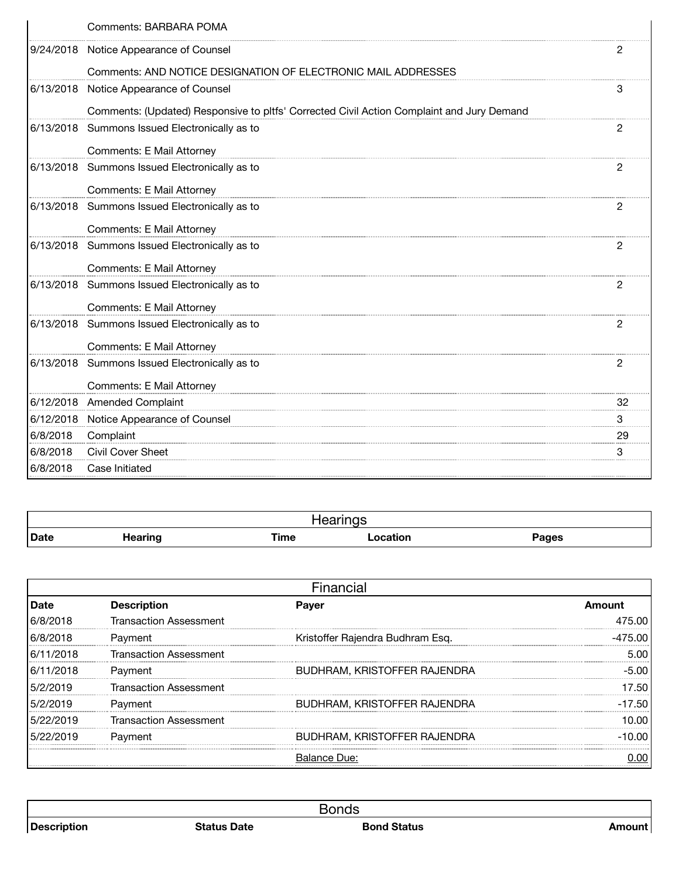| Comments: BARBARA POMA                                                                    |    |
|-------------------------------------------------------------------------------------------|----|
| 9/24/2018 Notice Appearance of Counsel                                                    |    |
| Comments: AND NOTICE DESIGNATION OF ELECTRONIC MAIL ADDRESSES                             |    |
| 6/13/2018 Notice Appearance of Counsel                                                    | 3  |
| Comments: (Updated) Responsive to pltfs' Corrected Civil Action Complaint and Jury Demand |    |
| 6/13/2018 Summons Issued Electronically as to                                             | 2  |
| Comments: E Mail Attorney                                                                 |    |
| 6/13/2018 Summons Issued Electronically as to                                             | 2  |
| Comments: E Mail Attorney                                                                 |    |
| 6/13/2018 Summons Issued Electronically as to                                             | 2  |
| Comments: E Mail Attorney                                                                 |    |
| 6/13/2018 Summons Issued Electronically as to                                             | 2  |
| <b>Comments: E Mail Attorney</b>                                                          |    |
| 6/13/2018 Summons Issued Electronically as to                                             | 2  |
| <b>Comments: E Mail Attorney</b>                                                          |    |
| 6/13/2018 Summons Issued Electronically as to                                             | 2  |
| Comments: E Mail Attorney                                                                 |    |
| 6/13/2018 Summons Issued Electronically as to                                             | 2  |
| Comments: E Mail Attorney                                                                 |    |
| 6/12/2018 Amended Complaint                                                               | 32 |
| 6/12/2018 Notice Appearance of Counsel                                                    | 3  |
| 6/8/2018 Complaint                                                                        | 29 |
| 6/8/2018 Civil Cover Sheet                                                                | 3  |
| 6/8/2018 Case Initiated                                                                   |    |

| <b>Date</b> | Hearing | <b>Time</b> | ocation<br>. | Pages |
|-------------|---------|-------------|--------------|-------|

| Date      | Descri                        | Paver                            | Amount |  |  |  |
|-----------|-------------------------------|----------------------------------|--------|--|--|--|
|           | Transaction Assessment        |                                  |        |  |  |  |
|           | Payment                       | Kristoffer Rajendra Budhram Esg. |        |  |  |  |
| 6/11/2018 | <b>Transaction Assessment</b> |                                  |        |  |  |  |
| 6/11/2018 | Payment                       | BUDHRAM, KRISTOFFER RAJENDRA     |        |  |  |  |
| 5/2/2019  | <b>Transaction Assessment</b> |                                  |        |  |  |  |
|           | Payment                       | BUDHRAM, KRISTOFFER RAJENDRA     |        |  |  |  |
| 2019      | <b>Transaction Assessment</b> |                                  |        |  |  |  |
| 5/22/2019 | Payment                       | BUDHRAM, KRISTOFFER RAJENDRA     | ററ     |  |  |  |
|           |                               | Balance Due:                     |        |  |  |  |